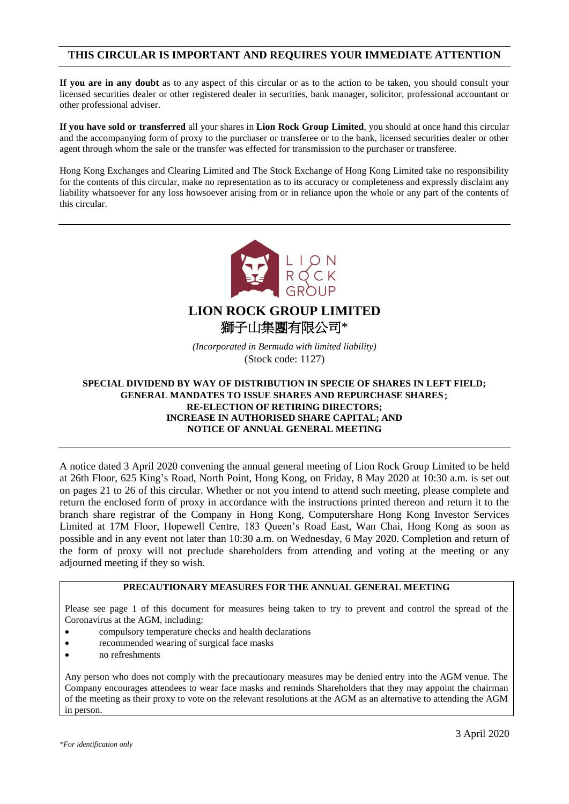## **THIS CIRCULAR IS IMPORTANT AND REQUIRES YOUR IMMEDIATE ATTENTION**

**If you are in any doubt** as to any aspect of this circular or as to the action to be taken, you should consult your licensed securities dealer or other registered dealer in securities, bank manager, solicitor, professional accountant or other professional adviser.

**If you have sold or transferred** all your shares in **Lion Rock Group Limited**, you should at once hand this circular and the accompanying form of proxy to the purchaser or transferee or to the bank, licensed securities dealer or other agent through whom the sale or the transfer was effected for transmission to the purchaser or transferee.

Hong Kong Exchanges and Clearing Limited and The Stock Exchange of Hong Kong Limited take no responsibility for the contents of this circular, make no representation as to its accuracy or completeness and expressly disclaim any liability whatsoever for any loss howsoever arising from or in reliance upon the whole or any part of the contents of this circular.



**LION ROCK GROUP LIMITED** 獅子山集團有限公司\*

*(Incorporated in Bermuda with limited liability)* (Stock code: 1127)

### **SPECIAL DIVIDEND BY WAY OF DISTRIBUTION IN SPECIE OF SHARES IN LEFT FIELD; GENERAL MANDATES TO ISSUE SHARES AND REPURCHASE SHARES**; **RE-ELECTION OF RETIRING DIRECTORS; INCREASE IN AUTHORISED SHARE CAPITAL; AND NOTICE OF ANNUAL GENERAL MEETING**

A notice dated 3 April 2020 convening the annual general meeting of Lion Rock Group Limited to be held at 26th Floor, 625 King's Road, North Point, Hong Kong, on Friday, 8 May 2020 at 10:30 a.m. is set out on pages 21 to 26 of this circular. Whether or not you intend to attend such meeting, please complete and return the enclosed form of proxy in accordance with the instructions printed thereon and return it to the branch share registrar of the Company in Hong Kong, Computershare Hong Kong Investor Services Limited at 17M Floor, Hopewell Centre, 183 Queen's Road East, Wan Chai, Hong Kong as soon as possible and in any event not later than 10:30 a.m. on Wednesday, 6 May 2020. Completion and return of the form of proxy will not preclude shareholders from attending and voting at the meeting or any adjourned meeting if they so wish.

### **PRECAUTIONARY MEASURES FOR THE ANNUAL GENERAL MEETING**

Please see page 1 of this document for measures being taken to try to prevent and control the spread of the Coronavirus at the AGM, including:

- compulsory temperature checks and health declarations
- recommended wearing of surgical face masks
- no refreshments

Any person who does not comply with the precautionary measures may be denied entry into the AGM venue. The Company encourages attendees to wear face masks and reminds Shareholders that they may appoint the chairman of the meeting as their proxy to vote on the relevant resolutions at the AGM as an alternative to attending the AGM in person.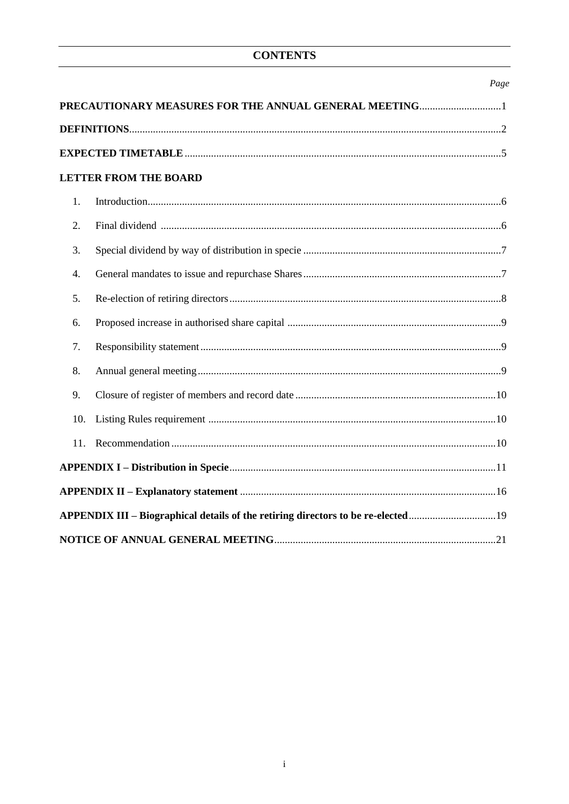# **CONTENTS**

|     |                                                                                  | Page |
|-----|----------------------------------------------------------------------------------|------|
|     | PRECAUTIONARY MEASURES FOR THE ANNUAL GENERAL MEETING1                           |      |
|     |                                                                                  |      |
|     |                                                                                  |      |
|     | <b>LETTER FROM THE BOARD</b>                                                     |      |
| 1.  |                                                                                  |      |
| 2.  |                                                                                  |      |
| 3.  |                                                                                  |      |
| 4.  |                                                                                  |      |
| 5.  |                                                                                  |      |
| 6.  |                                                                                  |      |
| 7.  |                                                                                  |      |
| 8.  |                                                                                  |      |
| 9.  |                                                                                  |      |
| 10. |                                                                                  |      |
| 11. |                                                                                  |      |
|     |                                                                                  |      |
|     |                                                                                  |      |
|     | APPENDIX III – Biographical details of the retiring directors to be re-elected19 |      |
|     |                                                                                  |      |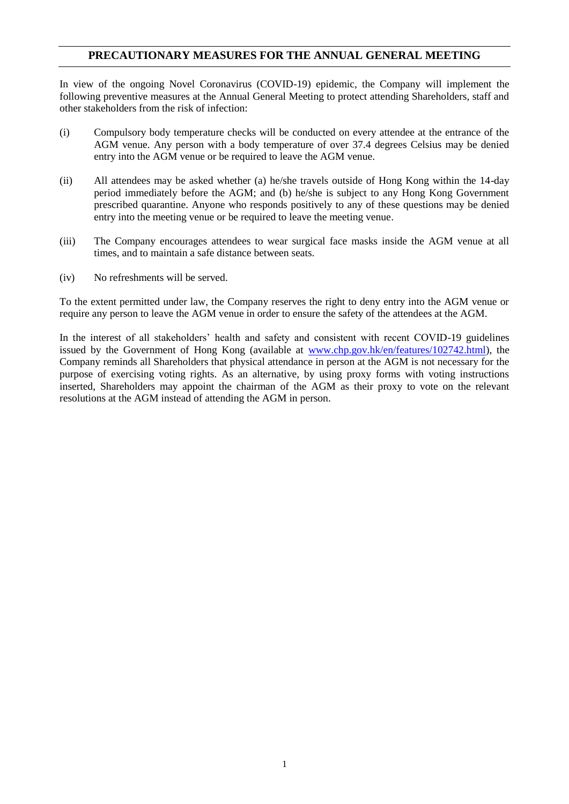## **PRECAUTIONARY MEASURES FOR THE ANNUAL GENERAL MEETING**

In view of the ongoing Novel Coronavirus (COVID-19) epidemic, the Company will implement the following preventive measures at the Annual General Meeting to protect attending Shareholders, staff and other stakeholders from the risk of infection:

- (i) Compulsory body temperature checks will be conducted on every attendee at the entrance of the AGM venue. Any person with a body temperature of over 37.4 degrees Celsius may be denied entry into the AGM venue or be required to leave the AGM venue.
- (ii) All attendees may be asked whether (a) he/she travels outside of Hong Kong within the 14-day period immediately before the AGM; and (b) he/she is subject to any Hong Kong Government prescribed quarantine. Anyone who responds positively to any of these questions may be denied entry into the meeting venue or be required to leave the meeting venue.
- (iii) The Company encourages attendees to wear surgical face masks inside the AGM venue at all times, and to maintain a safe distance between seats.
- (iv) No refreshments will be served.

To the extent permitted under law, the Company reserves the right to deny entry into the AGM venue or require any person to leave the AGM venue in order to ensure the safety of the attendees at the AGM.

In the interest of all stakeholders' health and safety and consistent with recent COVID-19 guidelines issued by the Government of Hong Kong (available at [www.chp.gov.hk/en/features/102742.html\)](http://www.chp.gov.hk/en/features/102742.html), the Company reminds all Shareholders that physical attendance in person at the AGM is not necessary for the purpose of exercising voting rights. As an alternative, by using proxy forms with voting instructions inserted, Shareholders may appoint the chairman of the AGM as their proxy to vote on the relevant resolutions at the AGM instead of attending the AGM in person.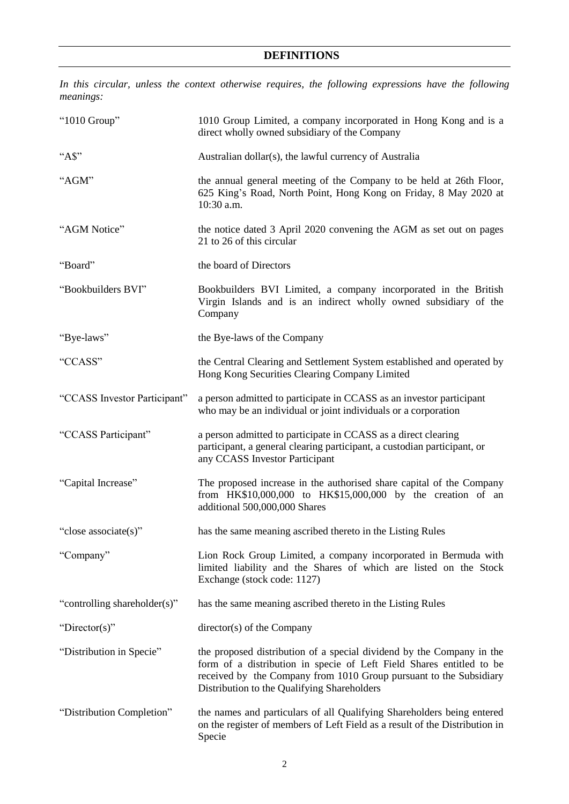*In this circular, unless the context otherwise requires, the following expressions have the following meanings:*

| "1010 Group"                 | 1010 Group Limited, a company incorporated in Hong Kong and is a<br>direct wholly owned subsidiary of the Company                                                                                                                                                  |
|------------------------------|--------------------------------------------------------------------------------------------------------------------------------------------------------------------------------------------------------------------------------------------------------------------|
| $A\$                         | Australian dollar(s), the lawful currency of Australia                                                                                                                                                                                                             |
| "AGM"                        | the annual general meeting of the Company to be held at 26th Floor,<br>625 King's Road, North Point, Hong Kong on Friday, 8 May 2020 at<br>10:30 a.m.                                                                                                              |
| "AGM Notice"                 | the notice dated 3 April 2020 convening the AGM as set out on pages<br>21 to 26 of this circular                                                                                                                                                                   |
| "Board"                      | the board of Directors                                                                                                                                                                                                                                             |
| "Bookbuilders BVI"           | Bookbuilders BVI Limited, a company incorporated in the British<br>Virgin Islands and is an indirect wholly owned subsidiary of the<br>Company                                                                                                                     |
| "Bye-laws"                   | the Bye-laws of the Company                                                                                                                                                                                                                                        |
| "CCASS"                      | the Central Clearing and Settlement System established and operated by<br>Hong Kong Securities Clearing Company Limited                                                                                                                                            |
| "CCASS Investor Participant" | a person admitted to participate in CCASS as an investor participant<br>who may be an individual or joint individuals or a corporation                                                                                                                             |
| "CCASS Participant"          | a person admitted to participate in CCASS as a direct clearing<br>participant, a general clearing participant, a custodian participant, or<br>any CCASS Investor Participant                                                                                       |
| "Capital Increase"           | The proposed increase in the authorised share capital of the Company<br>from $HK$10,000,000$ to $HK$15,000,000$ by the creation of an<br>additional 500,000,000 Shares                                                                                             |
| "close associate(s)"         | has the same meaning ascribed thereto in the Listing Rules                                                                                                                                                                                                         |
| "Company"                    | Lion Rock Group Limited, a company incorporated in Bermuda with<br>limited liability and the Shares of which are listed on the Stock<br>Exchange (stock code: 1127)                                                                                                |
| "controlling shareholder(s)" | has the same meaning ascribed thereto in the Listing Rules                                                                                                                                                                                                         |
| "Director(s)"                | director(s) of the Company                                                                                                                                                                                                                                         |
| "Distribution in Specie"     | the proposed distribution of a special dividend by the Company in the<br>form of a distribution in specie of Left Field Shares entitled to be<br>received by the Company from 1010 Group pursuant to the Subsidiary<br>Distribution to the Qualifying Shareholders |
| "Distribution Completion"    | the names and particulars of all Qualifying Shareholders being entered<br>on the register of members of Left Field as a result of the Distribution in<br>Specie                                                                                                    |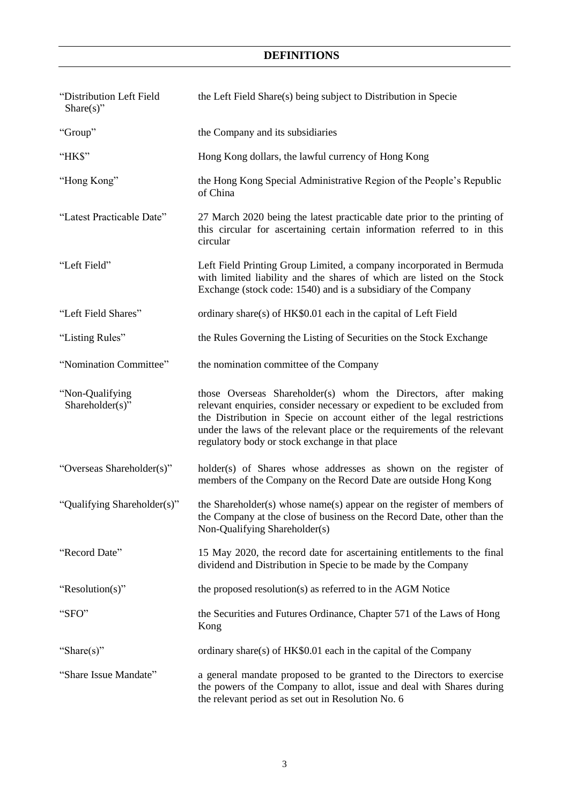# **DEFINITIONS**

| "Distribution Left Field<br>Share $(s)$ " | the Left Field Share(s) being subject to Distribution in Specie                                                                                                                                                                                                                                                                                    |
|-------------------------------------------|----------------------------------------------------------------------------------------------------------------------------------------------------------------------------------------------------------------------------------------------------------------------------------------------------------------------------------------------------|
| "Group"                                   | the Company and its subsidiaries                                                                                                                                                                                                                                                                                                                   |
| "HK\$"                                    | Hong Kong dollars, the lawful currency of Hong Kong                                                                                                                                                                                                                                                                                                |
| "Hong Kong"                               | the Hong Kong Special Administrative Region of the People's Republic<br>of China                                                                                                                                                                                                                                                                   |
| "Latest Practicable Date"                 | 27 March 2020 being the latest practicable date prior to the printing of<br>this circular for ascertaining certain information referred to in this<br>circular                                                                                                                                                                                     |
| "Left Field"                              | Left Field Printing Group Limited, a company incorporated in Bermuda<br>with limited liability and the shares of which are listed on the Stock<br>Exchange (stock code: 1540) and is a subsidiary of the Company                                                                                                                                   |
| "Left Field Shares"                       | ordinary share(s) of HK\$0.01 each in the capital of Left Field                                                                                                                                                                                                                                                                                    |
| "Listing Rules"                           | the Rules Governing the Listing of Securities on the Stock Exchange                                                                                                                                                                                                                                                                                |
| "Nomination Committee"                    | the nomination committee of the Company                                                                                                                                                                                                                                                                                                            |
| "Non-Qualifying<br>Shareholder(s)"        | those Overseas Shareholder(s) whom the Directors, after making<br>relevant enquiries, consider necessary or expedient to be excluded from<br>the Distribution in Specie on account either of the legal restrictions<br>under the laws of the relevant place or the requirements of the relevant<br>regulatory body or stock exchange in that place |
| "Overseas Shareholder(s)"                 | holder(s) of Shares whose addresses as shown on the register of<br>members of the Company on the Record Date are outside Hong Kong                                                                                                                                                                                                                 |
| "Qualifying Shareholder(s)"               | the Shareholder(s) whose name(s) appear on the register of members of<br>the Company at the close of business on the Record Date, other than the<br>Non-Qualifying Shareholder(s)                                                                                                                                                                  |
| "Record Date"                             | 15 May 2020, the record date for ascertaining entitlements to the final<br>dividend and Distribution in Specie to be made by the Company                                                                                                                                                                                                           |
| "Resolution(s)"                           | the proposed resolution(s) as referred to in the AGM Notice                                                                                                                                                                                                                                                                                        |
| "SFO"                                     | the Securities and Futures Ordinance, Chapter 571 of the Laws of Hong<br>Kong                                                                                                                                                                                                                                                                      |
| "Share(s)"                                | ordinary share(s) of $HK$0.01$ each in the capital of the Company                                                                                                                                                                                                                                                                                  |
| "Share Issue Mandate"                     | a general mandate proposed to be granted to the Directors to exercise<br>the powers of the Company to allot, issue and deal with Shares during<br>the relevant period as set out in Resolution No. 6                                                                                                                                               |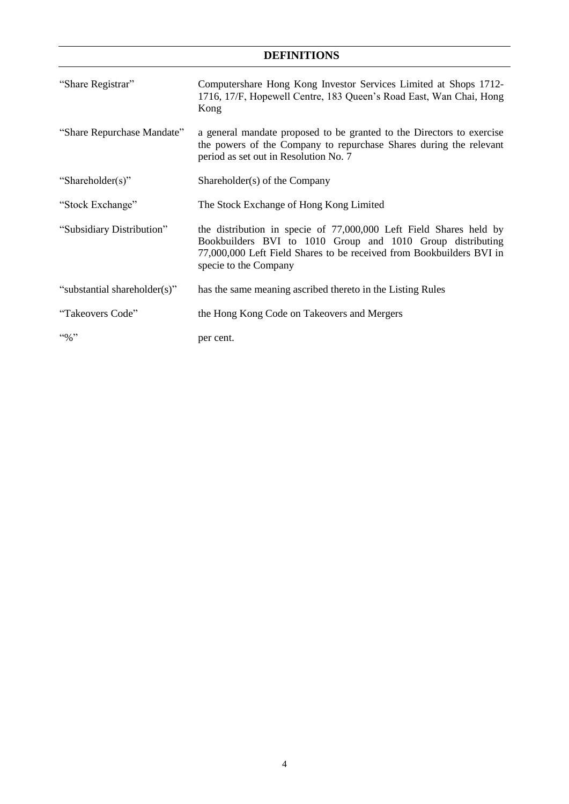# **DEFINITIONS**

| "Share Registrar"            | Computershare Hong Kong Investor Services Limited at Shops 1712-<br>1716, 17/F, Hopewell Centre, 183 Queen's Road East, Wan Chai, Hong<br>Kong                                                                                    |
|------------------------------|-----------------------------------------------------------------------------------------------------------------------------------------------------------------------------------------------------------------------------------|
| "Share Repurchase Mandate"   | a general mandate proposed to be granted to the Directors to exercise<br>the powers of the Company to repurchase Shares during the relevant<br>period as set out in Resolution No. 7                                              |
| "Shareholder(s)"             | Shareholder(s) of the Company                                                                                                                                                                                                     |
| "Stock Exchange"             | The Stock Exchange of Hong Kong Limited                                                                                                                                                                                           |
| "Subsidiary Distribution"    | the distribution in specie of 77,000,000 Left Field Shares held by<br>Bookbuilders BVI to 1010 Group and 1010 Group distributing<br>77,000,000 Left Field Shares to be received from Bookbuilders BVI in<br>specie to the Company |
| "substantial shareholder(s)" | has the same meaning ascribed thereto in the Listing Rules                                                                                                                                                                        |
| "Takeovers Code"             | the Hong Kong Code on Takeovers and Mergers                                                                                                                                                                                       |
| $\cdot \cdot \cdot \cdot$    | per cent.                                                                                                                                                                                                                         |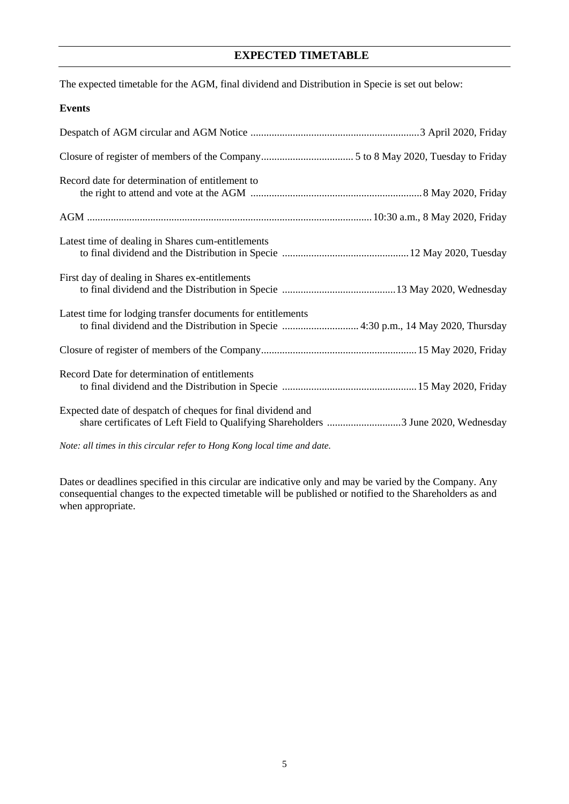## **EXPECTED TIMETABLE**

The expected timetable for the AGM, final dividend and Distribution in Specie is set out below:

### **Events**

| Record date for determination of entitlement to                                                                                                   |
|---------------------------------------------------------------------------------------------------------------------------------------------------|
|                                                                                                                                                   |
| Latest time of dealing in Shares cum-entitlements                                                                                                 |
| First day of dealing in Shares ex-entitlements                                                                                                    |
| Latest time for lodging transfer documents for entitlements<br>to final dividend and the Distribution in Specie  4:30 p.m., 14 May 2020, Thursday |
|                                                                                                                                                   |
| Record Date for determination of entitlements                                                                                                     |
| Expected date of despatch of cheques for final dividend and<br>share certificates of Left Field to Qualifying Shareholders 3 June 2020, Wednesday |

*Note: all times in this circular refer to Hong Kong local time and date.*

Dates or deadlines specified in this circular are indicative only and may be varied by the Company. Any consequential changes to the expected timetable will be published or notified to the Shareholders as and when appropriate.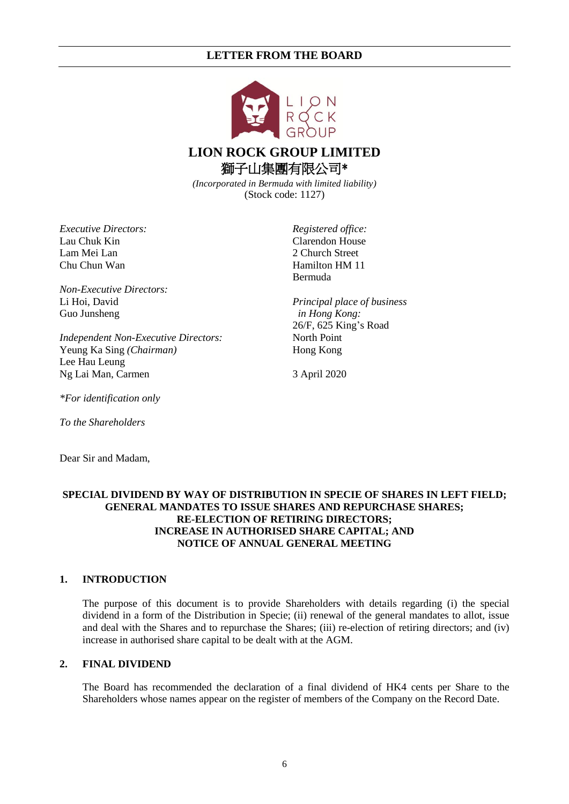

# **LION ROCK GROUP LIMITED** 獅子山集團有限公司\*

*(Incorporated in Bermuda with limited liability)* (Stock code: 1127)

*Executive Directors:* Lau Chuk Kin Lam Mei Lan Chu Chun Wan

*Non-Executive Directors:* Li Hoi, David Guo Junsheng

*Independent Non-Executive Directors:* Yeung Ka Sing *(Chairman)* Lee Hau Leung Ng Lai Man, Carmen

*Registered office:* Clarendon House 2 Church Street Hamilton HM 11 Bermuda

*Principal place of business in Hong Kong:* 26/F, 625 King's Road North Point Hong Kong

3 April 2020

*\*For identification only*

*To the Shareholders*

Dear Sir and Madam,

### **SPECIAL DIVIDEND BY WAY OF DISTRIBUTION IN SPECIE OF SHARES IN LEFT FIELD; GENERAL MANDATES TO ISSUE SHARES AND REPURCHASE SHARES; RE-ELECTION OF RETIRING DIRECTORS; INCREASE IN AUTHORISED SHARE CAPITAL; AND NOTICE OF ANNUAL GENERAL MEETING**

### **1. INTRODUCTION**

The purpose of this document is to provide Shareholders with details regarding (i) the special dividend in a form of the Distribution in Specie; (ii) renewal of the general mandates to allot, issue and deal with the Shares and to repurchase the Shares; (iii) re-election of retiring directors; and (iv) increase in authorised share capital to be dealt with at the AGM.

### **2. FINAL DIVIDEND**

The Board has recommended the declaration of a final dividend of HK4 cents per Share to the Shareholders whose names appear on the register of members of the Company on the Record Date.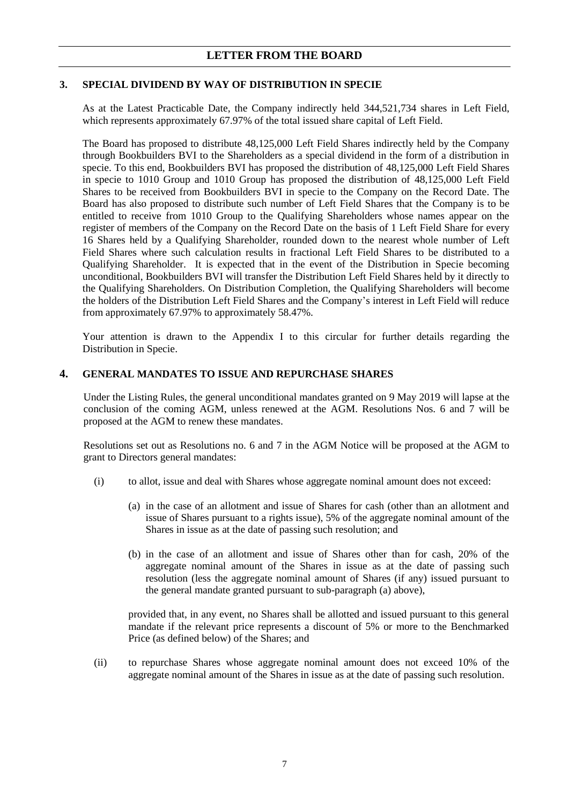### **3. SPECIAL DIVIDEND BY WAY OF DISTRIBUTION IN SPECIE**

As at the Latest Practicable Date, the Company indirectly held 344,521,734 shares in Left Field, which represents approximately 67.97% of the total issued share capital of Left Field.

The Board has proposed to distribute 48,125,000 Left Field Shares indirectly held by the Company through Bookbuilders BVI to the Shareholders as a special dividend in the form of a distribution in specie. To this end, Bookbuilders BVI has proposed the distribution of 48,125,000 Left Field Shares in specie to 1010 Group and 1010 Group has proposed the distribution of 48,125,000 Left Field Shares to be received from Bookbuilders BVI in specie to the Company on the Record Date. The Board has also proposed to distribute such number of Left Field Shares that the Company is to be entitled to receive from 1010 Group to the Qualifying Shareholders whose names appear on the register of members of the Company on the Record Date on the basis of 1 Left Field Share for every 16 Shares held by a Qualifying Shareholder, rounded down to the nearest whole number of Left Field Shares where such calculation results in fractional Left Field Shares to be distributed to a Qualifying Shareholder. It is expected that in the event of the Distribution in Specie becoming unconditional, Bookbuilders BVI will transfer the Distribution Left Field Shares held by it directly to the Qualifying Shareholders. On Distribution Completion, the Qualifying Shareholders will become the holders of the Distribution Left Field Shares and the Company's interest in Left Field will reduce from approximately 67.97% to approximately 58.47%.

Your attention is drawn to the Appendix I to this circular for further details regarding the Distribution in Specie.

### **4. GENERAL MANDATES TO ISSUE AND REPURCHASE SHARES**

Under the Listing Rules, the general unconditional mandates granted on 9 May 2019 will lapse at the conclusion of the coming AGM, unless renewed at the AGM. Resolutions Nos. [6](#page-23-0) and [7](#page-25-0) will be proposed at the AGM to renew these mandates.

Resolutions set out as Resolutions no. [6](#page-23-0) and [7](#page-25-0) in the AGM Notice will be proposed at the AGM to grant to Directors general mandates:

- <span id="page-8-0"></span>(i) to allot, issue and deal with Shares whose aggregate nominal amount does not exceed:
	- (a) in the case of an allotment and issue of Shares for cash (other than an allotment and issue of Shares pursuant to a rights issue), 5% of the aggregate nominal amount of the Shares in issue as at the date of passing such resolution; and
	- (b) in the case of an allotment and issue of Shares other than for cash, 20% of the aggregate nominal amount of the Shares in issue as at the date of passing such resolution (less the aggregate nominal amount of Shares (if any) issued pursuant to the general mandate granted pursuant to sub-paragraph [\(a\)](#page-8-0) above),

provided that, in any event, no Shares shall be allotted and issued pursuant to this general mandate if the relevant price represents a discount of 5% or more to the Benchmarked Price (as defined below) of the Shares; and

(ii) to repurchase Shares whose aggregate nominal amount does not exceed 10% of the aggregate nominal amount of the Shares in issue as at the date of passing such resolution.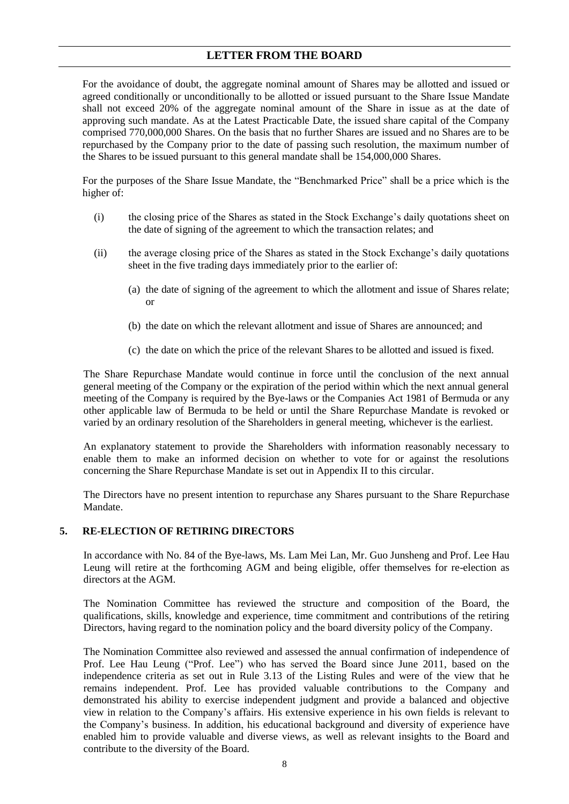For the avoidance of doubt, the aggregate nominal amount of Shares may be allotted and issued or agreed conditionally or unconditionally to be allotted or issued pursuant to the Share Issue Mandate shall not exceed 20% of the aggregate nominal amount of the Share in issue as at the date of approving such mandate. As at the Latest Practicable Date, the issued share capital of the Company comprised 770,000,000 Shares. On the basis that no further Shares are issued and no Shares are to be repurchased by the Company prior to the date of passing such resolution, the maximum number of the Shares to be issued pursuant to this general mandate shall be 154,000,000 Shares.

For the purposes of the Share Issue Mandate, the "Benchmarked Price" shall be a price which is the higher of:

- (i) the closing price of the Shares as stated in the Stock Exchange's daily quotations sheet on the date of signing of the agreement to which the transaction relates; and
- (ii) the average closing price of the Shares as stated in the Stock Exchange's daily quotations sheet in the five trading days immediately prior to the earlier of:
	- (a) the date of signing of the agreement to which the allotment and issue of Shares relate; or
	- (b) the date on which the relevant allotment and issue of Shares are announced; and
	- (c) the date on which the price of the relevant Shares to be allotted and issued is fixed.

The Share Repurchase Mandate would continue in force until the conclusion of the next annual general meeting of the Company or the expiration of the period within which the next annual general meeting of the Company is required by the Bye-laws or the Companies Act 1981 of Bermuda or any other applicable law of Bermuda to be held or until the Share Repurchase Mandate is revoked or varied by an ordinary resolution of the Shareholders in general meeting, whichever is the earliest.

An explanatory statement to provide the Shareholders with information reasonably necessary to enable them to make an informed decision on whether to vote for or against the resolutions concerning the Share Repurchase Mandate is set out in Appendix II to this circular.

The Directors have no present intention to repurchase any Shares pursuant to the Share Repurchase Mandate.

### **5. RE-ELECTION OF RETIRING DIRECTORS**

In accordance with No. 84 of the Bye-laws, Ms. Lam Mei Lan, Mr. Guo Junsheng and Prof. Lee Hau Leung will retire at the forthcoming AGM and being eligible, offer themselves for re-election as directors at the AGM.

The Nomination Committee has reviewed the structure and composition of the Board, the qualifications, skills, knowledge and experience, time commitment and contributions of the retiring Directors, having regard to the nomination policy and the board diversity policy of the Company.

The Nomination Committee also reviewed and assessed the annual confirmation of independence of Prof. Lee Hau Leung ("Prof. Lee") who has served the Board since June 2011, based on the independence criteria as set out in Rule 3.13 of the Listing Rules and were of the view that he remains independent. Prof. Lee has provided valuable contributions to the Company and demonstrated his ability to exercise independent judgment and provide a balanced and objective view in relation to the Company's affairs. His extensive experience in his own fields is relevant to the Company's business. In addition, his educational background and diversity of experience have enabled him to provide valuable and diverse views, as well as relevant insights to the Board and contribute to the diversity of the Board.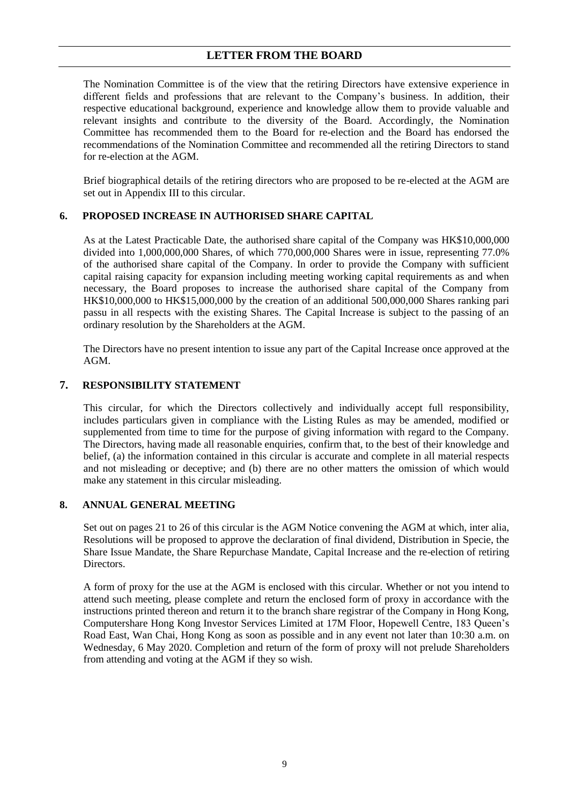The Nomination Committee is of the view that the retiring Directors have extensive experience in different fields and professions that are relevant to the Company's business. In addition, their respective educational background, experience and knowledge allow them to provide valuable and relevant insights and contribute to the diversity of the Board. Accordingly, the Nomination Committee has recommended them to the Board for re-election and the Board has endorsed the recommendations of the Nomination Committee and recommended all the retiring Directors to stand for re-election at the AGM.

Brief biographical details of the retiring directors who are proposed to be re-elected at the AGM are set out in Appendix III to this circular.

## **6. PROPOSED INCREASE IN AUTHORISED SHARE CAPITAL**

As at the Latest Practicable Date, the authorised share capital of the Company was HK\$10,000,000 divided into 1,000,000,000 Shares, of which 770,000,000 Shares were in issue, representing 77.0% of the authorised share capital of the Company. In order to provide the Company with sufficient capital raising capacity for expansion including meeting working capital requirements as and when necessary, the Board proposes to increase the authorised share capital of the Company from HK\$10,000,000 to HK\$15,000,000 by the creation of an additional 500,000,000 Shares ranking pari passu in all respects with the existing Shares. The Capital Increase is subject to the passing of an ordinary resolution by the Shareholders at the AGM.

The Directors have no present intention to issue any part of the Capital Increase once approved at the AGM.

### **7. RESPONSIBILITY STATEMENT**

This circular, for which the Directors collectively and individually accept full responsibility, includes particulars given in compliance with the Listing Rules as may be amended, modified or supplemented from time to time for the purpose of giving information with regard to the Company. The Directors, having made all reasonable enquiries, confirm that, to the best of their knowledge and belief, (a) the information contained in this circular is accurate and complete in all material respects and not misleading or deceptive; and (b) there are no other matters the omission of which would make any statement in this circular misleading.

### **8. ANNUAL GENERAL MEETING**

Set out on pages 21 to 26 of this circular is the AGM Notice convening the AGM at which, inter alia, Resolutions will be proposed to approve the declaration of final dividend, Distribution in Specie, the Share Issue Mandate, the Share Repurchase Mandate, Capital Increase and the re-election of retiring Directors.

A form of proxy for the use at the AGM is enclosed with this circular. Whether or not you intend to attend such meeting, please complete and return the enclosed form of proxy in accordance with the instructions printed thereon and return it to the branch share registrar of the Company in Hong Kong, Computershare Hong Kong Investor Services Limited at 17M Floor, Hopewell Centre, 183 Queen's Road East, Wan Chai, Hong Kong as soon as possible and in any event not later than 10:30 a.m. on Wednesday, 6 May 2020. Completion and return of the form of proxy will not prelude Shareholders from attending and voting at the AGM if they so wish.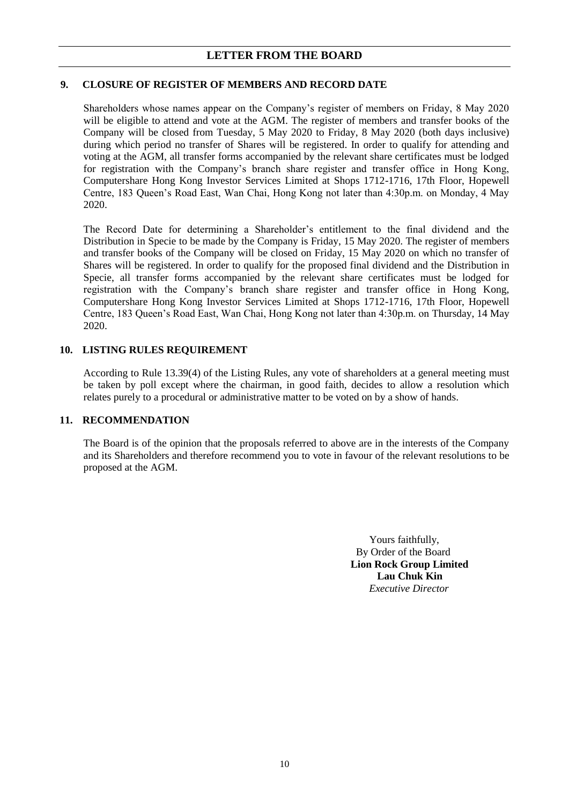### **9. CLOSURE OF REGISTER OF MEMBERS AND RECORD DATE**

Shareholders whose names appear on the Company's register of members on Friday, 8 May 2020 will be eligible to attend and vote at the AGM. The register of members and transfer books of the Company will be closed from Tuesday, 5 May 2020 to Friday, 8 May 2020 (both days inclusive) during which period no transfer of Shares will be registered. In order to qualify for attending and voting at the AGM, all transfer forms accompanied by the relevant share certificates must be lodged for registration with the Company's branch share register and transfer office in Hong Kong, Computershare Hong Kong Investor Services Limited at Shops 1712-1716, 17th Floor, Hopewell Centre, 183 Queen's Road East, Wan Chai, Hong Kong not later than 4:30p.m. on Monday, 4 May 2020.

The Record Date for determining a Shareholder's entitlement to the final dividend and the Distribution in Specie to be made by the Company is Friday, 15 May 2020. The register of members and transfer books of the Company will be closed on Friday, 15 May 2020 on which no transfer of Shares will be registered. In order to qualify for the proposed final dividend and the Distribution in Specie, all transfer forms accompanied by the relevant share certificates must be lodged for registration with the Company's branch share register and transfer office in Hong Kong, Computershare Hong Kong Investor Services Limited at Shops 1712-1716, 17th Floor, Hopewell Centre, 183 Queen's Road East, Wan Chai, Hong Kong not later than 4:30p.m. on Thursday, 14 May 2020.

### **10. LISTING RULES REQUIREMENT**

According to Rule 13.39(4) of the Listing Rules, any vote of shareholders at a general meeting must be taken by poll except where the chairman, in good faith, decides to allow a resolution which relates purely to a procedural or administrative matter to be voted on by a show of hands.

### **11. RECOMMENDATION**

The Board is of the opinion that the proposals referred to above are in the interests of the Company and its Shareholders and therefore recommend you to vote in favour of the relevant resolutions to be proposed at the AGM.

> Yours faithfully, By Order of the Board **Lion Rock Group Limited Lau Chuk Kin** *Executive Director*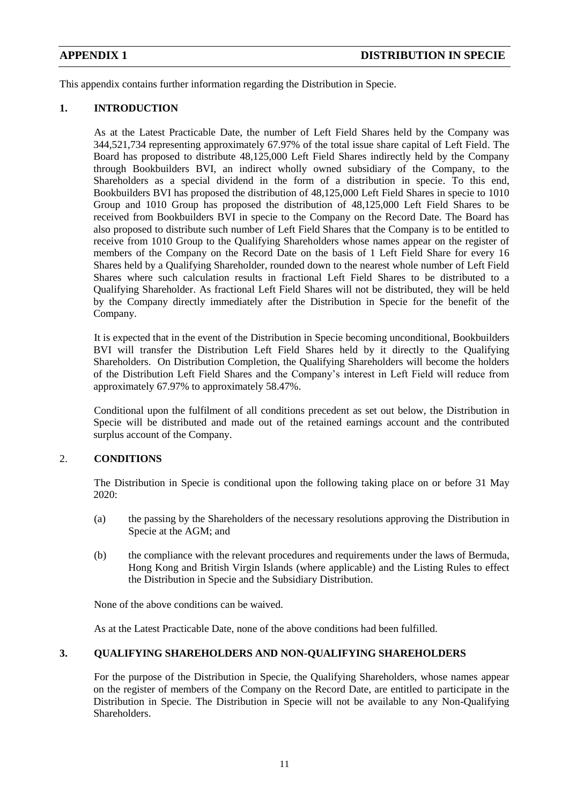This appendix contains further information regarding the Distribution in Specie.

## **1. INTRODUCTION**

As at the Latest Practicable Date, the number of Left Field Shares held by the Company was 344,521,734 representing approximately 67.97% of the total issue share capital of Left Field. The Board has proposed to distribute 48,125,000 Left Field Shares indirectly held by the Company through Bookbuilders BVI, an indirect wholly owned subsidiary of the Company, to the Shareholders as a special dividend in the form of a distribution in specie. To this end, Bookbuilders BVI has proposed the distribution of 48,125,000 Left Field Shares in specie to 1010 Group and 1010 Group has proposed the distribution of 48,125,000 Left Field Shares to be received from Bookbuilders BVI in specie to the Company on the Record Date. The Board has also proposed to distribute such number of Left Field Shares that the Company is to be entitled to receive from 1010 Group to the Qualifying Shareholders whose names appear on the register of members of the Company on the Record Date on the basis of 1 Left Field Share for every 16 Shares held by a Qualifying Shareholder, rounded down to the nearest whole number of Left Field Shares where such calculation results in fractional Left Field Shares to be distributed to a Qualifying Shareholder. As fractional Left Field Shares will not be distributed, they will be held by the Company directly immediately after the Distribution in Specie for the benefit of the Company.

It is expected that in the event of the Distribution in Specie becoming unconditional, Bookbuilders BVI will transfer the Distribution Left Field Shares held by it directly to the Qualifying Shareholders. On Distribution Completion, the Qualifying Shareholders will become the holders of the Distribution Left Field Shares and the Company's interest in Left Field will reduce from approximately 67.97% to approximately 58.47%.

Conditional upon the fulfilment of all conditions precedent as set out below, the Distribution in Specie will be distributed and made out of the retained earnings account and the contributed surplus account of the Company.

## 2. **CONDITIONS**

The Distribution in Specie is conditional upon the following taking place on or before 31 May 2020:

- (a) the passing by the Shareholders of the necessary resolutions approving the Distribution in Specie at the AGM; and
- (b) the compliance with the relevant procedures and requirements under the laws of Bermuda, Hong Kong and British Virgin Islands (where applicable) and the Listing Rules to effect the Distribution in Specie and the Subsidiary Distribution.

None of the above conditions can be waived.

As at the Latest Practicable Date, none of the above conditions had been fulfilled.

### **3. QUALIFYING SHAREHOLDERS AND NON-QUALIFYING SHAREHOLDERS**

For the purpose of the Distribution in Specie, the Qualifying Shareholders, whose names appear on the register of members of the Company on the Record Date, are entitled to participate in the Distribution in Specie. The Distribution in Specie will not be available to any Non-Qualifying Shareholders.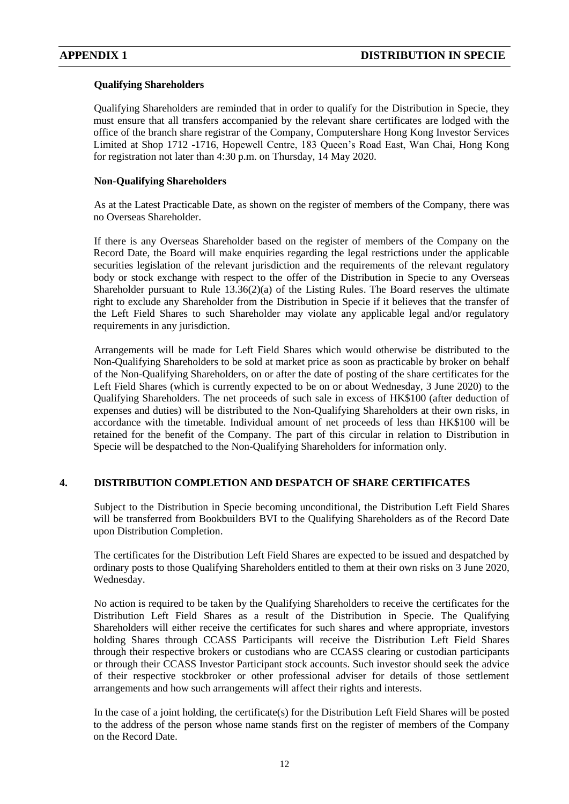### **Qualifying Shareholders**

Qualifying Shareholders are reminded that in order to qualify for the Distribution in Specie, they must ensure that all transfers accompanied by the relevant share certificates are lodged with the office of the branch share registrar of the Company, Computershare Hong Kong Investor Services Limited at Shop 1712 -1716, Hopewell Centre, 183 Queen's Road East, Wan Chai, Hong Kong for registration not later than 4:30 p.m. on Thursday, 14 May 2020.

### **Non-Qualifying Shareholders**

As at the Latest Practicable Date, as shown on the register of members of the Company, there was no Overseas Shareholder.

If there is any Overseas Shareholder based on the register of members of the Company on the Record Date, the Board will make enquiries regarding the legal restrictions under the applicable securities legislation of the relevant jurisdiction and the requirements of the relevant regulatory body or stock exchange with respect to the offer of the Distribution in Specie to any Overseas Shareholder pursuant to Rule 13.36(2)(a) of the Listing Rules. The Board reserves the ultimate right to exclude any Shareholder from the Distribution in Specie if it believes that the transfer of the Left Field Shares to such Shareholder may violate any applicable legal and/or regulatory requirements in any jurisdiction.

Arrangements will be made for Left Field Shares which would otherwise be distributed to the Non-Qualifying Shareholders to be sold at market price as soon as practicable by broker on behalf of the Non-Qualifying Shareholders, on or after the date of posting of the share certificates for the Left Field Shares (which is currently expected to be on or about Wednesday, 3 June 2020) to the Qualifying Shareholders. The net proceeds of such sale in excess of HK\$100 (after deduction of expenses and duties) will be distributed to the Non-Qualifying Shareholders at their own risks, in accordance with the timetable. Individual amount of net proceeds of less than HK\$100 will be retained for the benefit of the Company. The part of this circular in relation to Distribution in Specie will be despatched to the Non-Qualifying Shareholders for information only.

## **4. DISTRIBUTION COMPLETION AND DESPATCH OF SHARE CERTIFICATES**

Subject to the Distribution in Specie becoming unconditional, the Distribution Left Field Shares will be transferred from Bookbuilders BVI to the Qualifying Shareholders as of the Record Date upon Distribution Completion.

The certificates for the Distribution Left Field Shares are expected to be issued and despatched by ordinary posts to those Qualifying Shareholders entitled to them at their own risks on 3 June 2020, Wednesday.

No action is required to be taken by the Qualifying Shareholders to receive the certificates for the Distribution Left Field Shares as a result of the Distribution in Specie. The Qualifying Shareholders will either receive the certificates for such shares and where appropriate, investors holding Shares through CCASS Participants will receive the Distribution Left Field Shares through their respective brokers or custodians who are CCASS clearing or custodian participants or through their CCASS Investor Participant stock accounts. Such investor should seek the advice of their respective stockbroker or other professional adviser for details of those settlement arrangements and how such arrangements will affect their rights and interests.

In the case of a joint holding, the certificate(s) for the Distribution Left Field Shares will be posted to the address of the person whose name stands first on the register of members of the Company on the Record Date.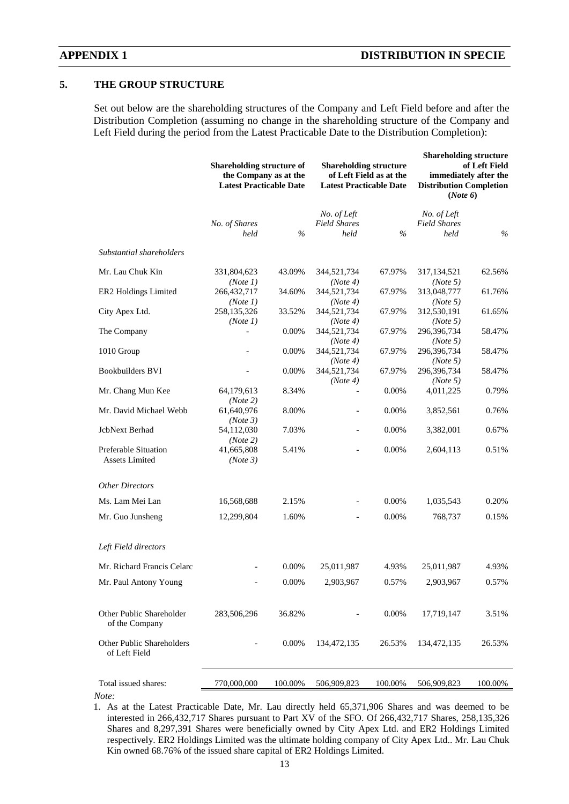### **5. THE GROUP STRUCTURE**

Set out below are the shareholding structures of the Company and Left Field before and after the Distribution Completion (assuming no change in the shareholding structure of the Company and Left Field during the period from the Latest Practicable Date to the Distribution Completion):

|                                                      | <b>Shareholding structure of</b><br>the Company as at the<br><b>Latest Practicable Date</b> |               | <b>Shareholding structure</b><br>of Left Field as at the<br><b>Latest Practicable Date</b> |               | <b>Shareholding structure</b><br>of Left Field<br>immediately after the<br><b>Distribution Completion</b><br>(Note 6) |         |
|------------------------------------------------------|---------------------------------------------------------------------------------------------|---------------|--------------------------------------------------------------------------------------------|---------------|-----------------------------------------------------------------------------------------------------------------------|---------|
|                                                      | No. of Shares<br>held                                                                       | $\frac{0}{0}$ | No. of Left<br><b>Field Shares</b><br>held                                                 | $\frac{0}{0}$ | No. of Left<br><b>Field Shares</b><br>held                                                                            | $\%$    |
| Substantial shareholders                             |                                                                                             |               |                                                                                            |               |                                                                                                                       |         |
| Mr. Lau Chuk Kin                                     | 331,804,623                                                                                 | 43.09%        | 344,521,734                                                                                | 67.97%        | 317, 134, 521                                                                                                         | 62.56%  |
| ER2 Holdings Limited                                 | (Note 1)<br>266,432,717<br>(Note 1)                                                         | 34.60%        | (Note 4)<br>344,521,734<br>(Note 4)                                                        | 67.97%        | (Note 5)<br>313,048,777<br>(Note 5)                                                                                   | 61.76%  |
| City Apex Ltd.                                       | 258,135,326<br>(Note 1)                                                                     | 33.52%        | 344,521,734<br>(Note 4)                                                                    | 67.97%        | 312,530,191<br>(Note 5)                                                                                               | 61.65%  |
| The Company                                          |                                                                                             | 0.00%         | 344,521,734<br>(Note 4)                                                                    | 67.97%        | 296,396,734<br>(Note 5)                                                                                               | 58.47%  |
| 1010 Group                                           |                                                                                             | 0.00%         | 344,521,734<br>(Note 4)                                                                    | 67.97%        | 296,396,734<br>(Note 5)                                                                                               | 58.47%  |
| <b>Bookbuilders BVI</b>                              |                                                                                             | 0.00%         | 344,521,734<br>(Note 4)                                                                    | 67.97%        | 296,396,734<br>(Note 5)                                                                                               | 58.47%  |
| Mr. Chang Mun Kee                                    | 64,179,613<br>(Note 2)                                                                      | 8.34%         |                                                                                            | 0.00%         | 4,011,225                                                                                                             | 0.79%   |
| Mr. David Michael Webb                               | 61,640,976<br>(Note 3)                                                                      | 8.00%         |                                                                                            | 0.00%         | 3,852,561                                                                                                             | 0.76%   |
| JcbNext Berhad                                       | 54,112,030<br>(Note 2)                                                                      | 7.03%         | $\overline{\phantom{0}}$                                                                   | 0.00%         | 3,382,001                                                                                                             | 0.67%   |
| <b>Preferable Situation</b><br><b>Assets Limited</b> | 41,665,808<br>(Note 3)                                                                      | 5.41%         |                                                                                            | 0.00%         | 2,604,113                                                                                                             | 0.51%   |
| <b>Other Directors</b>                               |                                                                                             |               |                                                                                            |               |                                                                                                                       |         |
| Ms. Lam Mei Lan                                      | 16,568,688                                                                                  | 2.15%         |                                                                                            | 0.00%         | 1,035,543                                                                                                             | 0.20%   |
| Mr. Guo Junsheng                                     | 12,299,804                                                                                  | 1.60%         |                                                                                            | 0.00%         | 768,737                                                                                                               | 0.15%   |
| Left Field directors                                 |                                                                                             |               |                                                                                            |               |                                                                                                                       |         |
| Mr. Richard Francis Celarc                           |                                                                                             | 0.00%         | 25,011,987                                                                                 | 4.93%         | 25,011,987                                                                                                            | 4.93%   |
| Mr. Paul Antony Young                                |                                                                                             | 0.00%         | 2,903,967                                                                                  | 0.57%         | 2,903,967                                                                                                             | 0.57%   |
| Other Public Shareholder<br>of the Company           | 283,506,296                                                                                 | 36.82%        |                                                                                            | 0.00%         | 17,719,147                                                                                                            | 3.51%   |
| Other Public Shareholders<br>of Left Field           |                                                                                             | 0.00%         | 134, 472, 135                                                                              | 26.53%        | 134, 472, 135                                                                                                         | 26.53%  |
| Total issued shares:                                 | 770,000,000                                                                                 | 100.00%       | 506,909,823                                                                                | 100.00%       | 506,909,823                                                                                                           | 100.00% |
| Note:                                                |                                                                                             |               |                                                                                            |               |                                                                                                                       |         |

<sup>1.</sup> As at the Latest Practicable Date, Mr. Lau directly held 65,371,906 Shares and was deemed to be interested in 266,432,717 Shares pursuant to Part XV of the SFO. Of 266,432,717 Shares, 258,135,326 Shares and 8,297,391 Shares were beneficially owned by City Apex Ltd. and ER2 Holdings Limited respectively. ER2 Holdings Limited was the ultimate holding company of City Apex Ltd.. Mr. Lau Chuk Kin owned 68.76% of the issued share capital of ER2 Holdings Limited.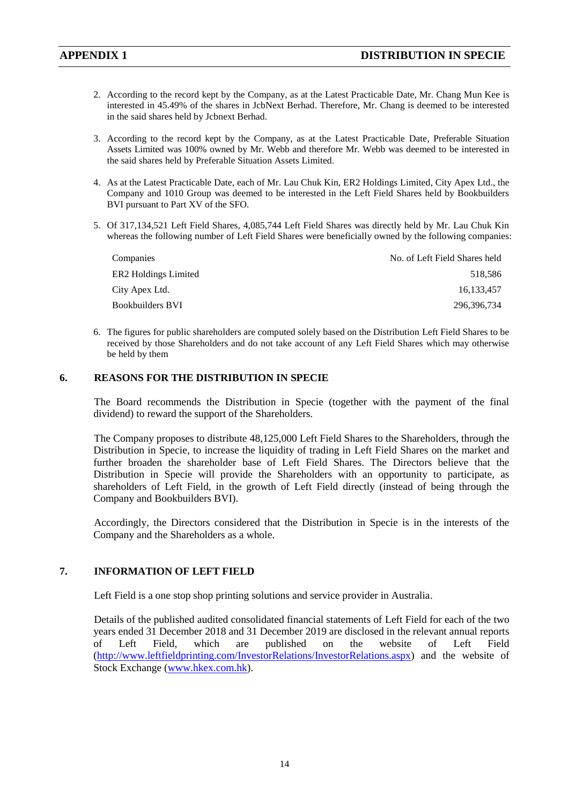- 2. According to the record kept by the Company, as at the Latest Practicable Date, Mr. Chang Mun Kee is interested in 45.49% of the shares in JcbNext Berhad. Therefore, Mr. Chang is deemed to be interested in the said shares held by Jcbnext Berhad.
- 3. According to the record kept by the Company, as at the Latest Practicable Date, Preferable Situation Assets Limited was 100% owned by Mr. Webb and therefore Mr. Webb was deemed to be interested in the said shares held by Preferable Situation Assets Limited.
- 4. As at the Latest Practicable Date, each of Mr. Lau Chuk Kin, ER2 Holdings Limited, City Apex Ltd., the Company and 1010 Group was deemed to be interested in the Left Field Shares held by Bookbuilders BVI pursuant to Part XV of the SFO.
- 5. Of 317,134,521 Left Field Shares, 4,085,744 Left Field Shares was directly held by Mr. Lau Chuk Kin whereas the following number of Left Field Shares were beneficially owned by the following companies:

| Companies                        | No. of Left Field Shares held |
|----------------------------------|-------------------------------|
| ER <sub>2</sub> Holdings Limited | 518.586                       |
| City Apex Ltd.                   | 16.133.457                    |
| Bookbuilders BVI                 | 296.396.734                   |

6. The figures for public shareholders are computed solely based on the Distribution Left Field Shares to be received by those Shareholders and do not take account of any Left Field Shares which may otherwise be held by them

### **6. REASONS FOR THE DISTRIBUTION IN SPECIE**

The Board recommends the Distribution in Specie (together with the payment of the final dividend) to reward the support of the Shareholders.

The Company proposes to distribute 48,125,000 Left Field Shares to the Shareholders, through the Distribution in Specie, to increase the liquidity of trading in Left Field Shares on the market and further broaden the shareholder base of Left Field Shares. The Directors believe that the Distribution in Specie will provide the Shareholders with an opportunity to participate, as shareholders of Left Field, in the growth of Left Field directly (instead of being through the Company and Bookbuilders BVI).

Accordingly, the Directors considered that the Distribution in Specie is in the interests of the Company and the Shareholders as a whole.

## **7. INFORMATION OF LEFT FIELD**

Left Field is a one stop shop printing solutions and service provider in Australia.

Details of the published audited consolidated financial statements of Left Field for each of the two years ended 31 December 2018 and 31 December 2019 are disclosed in the relevant annual reports of Left Field, which are published on the website of Left Field [\(http://www.leftfieldprinting.com/InvestorRelations/InvestorRelations.aspx\)](http://www.leftfieldprinting.com/InvestorRelations/InvestorRelations.aspx) and the website of Stock Exchange [\(www.hkex.com.hk\)](http://www.hkex.com.hk/).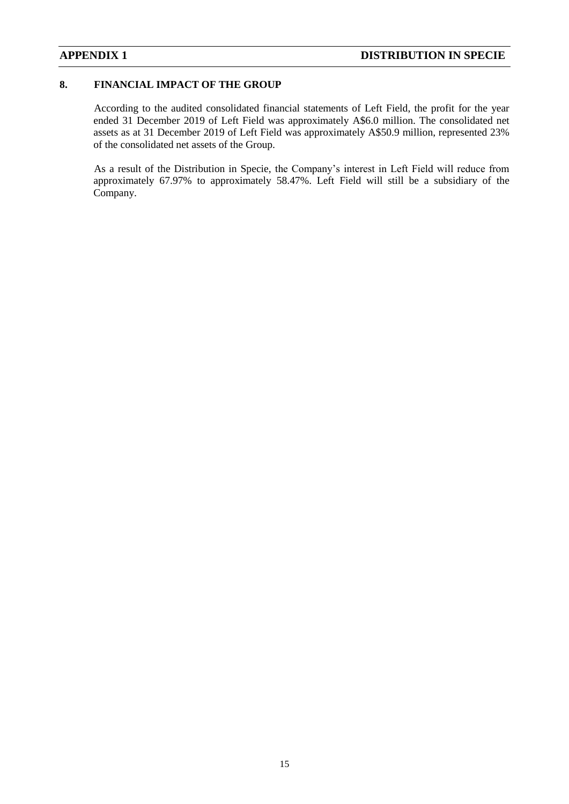## **8. FINANCIAL IMPACT OF THE GROUP**

According to the audited consolidated financial statements of Left Field, the profit for the year ended 31 December 2019 of Left Field was approximately A\$6.0 million. The consolidated net assets as at 31 December 2019 of Left Field was approximately A\$50.9 million, represented 23% of the consolidated net assets of the Group.

As a result of the Distribution in Specie, the Company's interest in Left Field will reduce from approximately 67.97% to approximately 58.47%. Left Field will still be a subsidiary of the Company.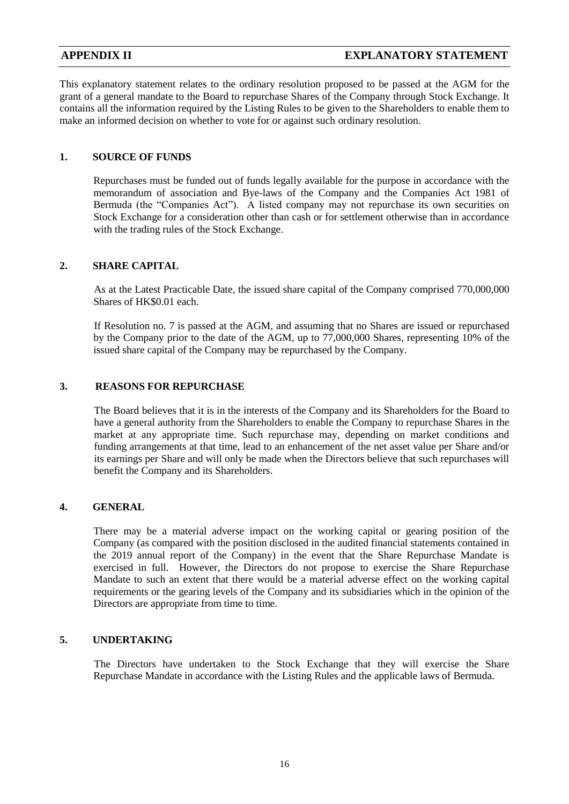This explanatory statement relates to the ordinary resolution proposed to be passed at the AGM for the grant of a general mandate to the Board to repurchase Shares of the Company through Stock Exchange. It contains all the information required by the Listing Rules to be given to the Shareholders to enable them to make an informed decision on whether to vote for or against such ordinary resolution.

## **1. SOURCE OF FUNDS**

Repurchases must be funded out of funds legally available for the purpose in accordance with the memorandum of association and Bye-laws of the Company and the Companies Act 1981 of Bermuda (the "Companies Act"). A listed company may not repurchase its own securities on Stock Exchange for a consideration other than cash or for settlement otherwise than in accordance with the trading rules of the Stock Exchange.

### **2. SHARE CAPITAL**

As at the Latest Practicable Date, the issued share capital of the Company comprised 770,000,000 Shares of HK\$0.01 each.

If Resolution no. 7 is passed at the AGM, and assuming that no Shares are issued or repurchased by the Company prior to the date of the AGM, up to 77,000,000 Shares, representing 10% of the issued share capital of the Company may be repurchased by the Company.

## **3. REASONS FOR REPURCHASE**

The Board believes that it is in the interests of the Company and its Shareholders for the Board to have a general authority from the Shareholders to enable the Company to repurchase Shares in the market at any appropriate time. Such repurchase may, depending on market conditions and funding arrangements at that time, lead to an enhancement of the net asset value per Share and/or its earnings per Share and will only be made when the Directors believe that such repurchases will benefit the Company and its Shareholders.

## **4. GENERAL**

There may be a material adverse impact on the working capital or gearing position of the Company (as compared with the position disclosed in the audited financial statements contained in the 2019 annual report of the Company) in the event that the Share Repurchase Mandate is exercised in full. However, the Directors do not propose to exercise the Share Repurchase Mandate to such an extent that there would be a material adverse effect on the working capital requirements or the gearing levels of the Company and its subsidiaries which in the opinion of the Directors are appropriate from time to time.

### **5. UNDERTAKING**

The Directors have undertaken to the Stock Exchange that they will exercise the Share Repurchase Mandate in accordance with the Listing Rules and the applicable laws of Bermuda.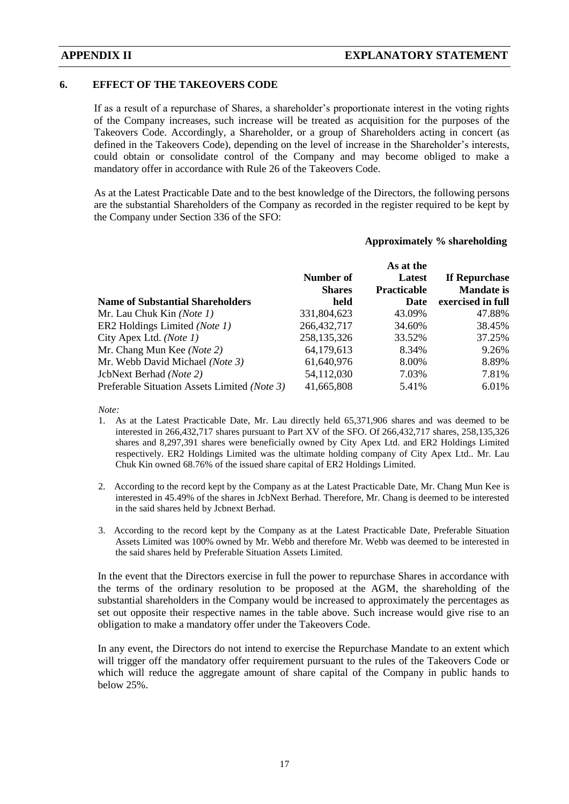### **6. EFFECT OF THE TAKEOVERS CODE**

If as a result of a repurchase of Shares, a shareholder's proportionate interest in the voting rights of the Company increases, such increase will be treated as acquisition for the purposes of the Takeovers Code. Accordingly, a Shareholder, or a group of Shareholders acting in concert (as defined in the Takeovers Code), depending on the level of increase in the Shareholder's interests, could obtain or consolidate control of the Company and may become obliged to make a mandatory offer in accordance with Rule 26 of the Takeovers Code.

As at the Latest Practicable Date and to the best knowledge of the Directors, the following persons are the substantial Shareholders of the Company as recorded in the register required to be kept by the Company under Section 336 of the SFO:

### **Approximately % shareholding**

| <b>Name of Substantial Shareholders</b>      | Number of<br><b>Shares</b><br>held | As at the<br>Latest<br>Practicable<br>Date | If Repurchase<br><b>Mandate is</b><br>exercised in full |
|----------------------------------------------|------------------------------------|--------------------------------------------|---------------------------------------------------------|
| Mr. Lau Chuk Kin (Note 1)                    | 331,804,623                        | 43.09%                                     | 47.88%                                                  |
| ER2 Holdings Limited (Note 1)                | 266, 432, 717                      | 34.60%                                     | 38.45%                                                  |
| City Apex Ltd. ( <i>Note 1</i> )             | 258, 135, 326                      | 33.52%                                     | 37.25%                                                  |
| Mr. Chang Mun Kee (Note 2)                   | 64,179,613                         | 8.34%                                      | 9.26%                                                   |
| Mr. Webb David Michael (Note 3)              | 61,640,976                         | 8.00%                                      | 8.89%                                                   |
| JcbNext Berhad (Note 2)                      | 54,112,030                         | 7.03%                                      | 7.81%                                                   |
| Preferable Situation Assets Limited (Note 3) | 41,665,808                         | 5.41%                                      | 6.01%                                                   |

*Note:*

- 1. As at the Latest Practicable Date, Mr. Lau directly held 65,371,906 shares and was deemed to be interested in 266,432,717 shares pursuant to Part XV of the SFO. Of 266,432,717 shares, 258,135,326 shares and 8,297,391 shares were beneficially owned by City Apex Ltd. and ER2 Holdings Limited respectively. ER2 Holdings Limited was the ultimate holding company of City Apex Ltd.. Mr. Lau Chuk Kin owned 68.76% of the issued share capital of ER2 Holdings Limited.
- 2. According to the record kept by the Company as at the Latest Practicable Date, Mr. Chang Mun Kee is interested in 45.49% of the shares in JcbNext Berhad. Therefore, Mr. Chang is deemed to be interested in the said shares held by Jcbnext Berhad.
- 3. According to the record kept by the Company as at the Latest Practicable Date, Preferable Situation Assets Limited was 100% owned by Mr. Webb and therefore Mr. Webb was deemed to be interested in the said shares held by Preferable Situation Assets Limited.

In the event that the Directors exercise in full the power to repurchase Shares in accordance with the terms of the ordinary resolution to be proposed at the AGM, the shareholding of the substantial shareholders in the Company would be increased to approximately the percentages as set out opposite their respective names in the table above. Such increase would give rise to an obligation to make a mandatory offer under the Takeovers Code.

In any event, the Directors do not intend to exercise the Repurchase Mandate to an extent which will trigger off the mandatory offer requirement pursuant to the rules of the Takeovers Code or which will reduce the aggregate amount of share capital of the Company in public hands to below 25%.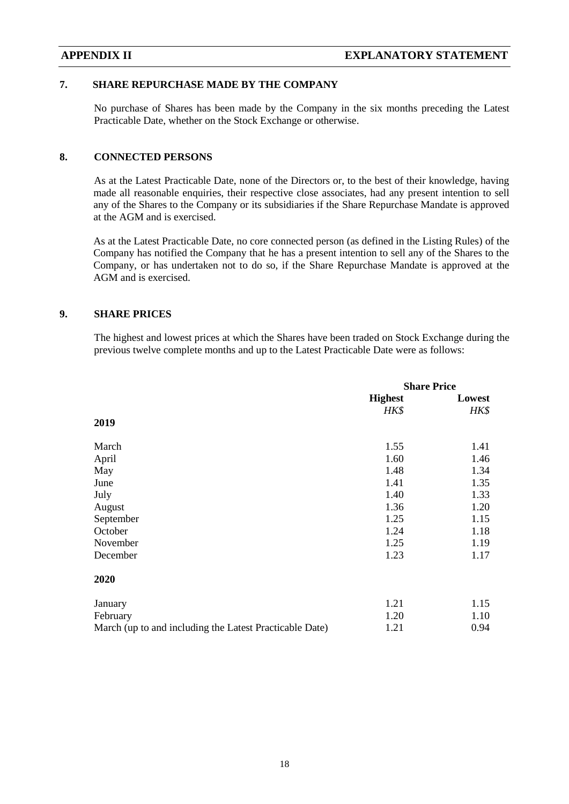## **7. SHARE REPURCHASE MADE BY THE COMPANY**

No purchase of Shares has been made by the Company in the six months preceding the Latest Practicable Date, whether on the Stock Exchange or otherwise.

### **8. CONNECTED PERSONS**

As at the Latest Practicable Date, none of the Directors or, to the best of their knowledge, having made all reasonable enquiries, their respective close associates, had any present intention to sell any of the Shares to the Company or its subsidiaries if the Share Repurchase Mandate is approved at the AGM and is exercised.

As at the Latest Practicable Date, no core connected person (as defined in the Listing Rules) of the Company has notified the Company that he has a present intention to sell any of the Shares to the Company, or has undertaken not to do so, if the Share Repurchase Mandate is approved at the AGM and is exercised.

### **9. SHARE PRICES**

The highest and lowest prices at which the Shares have been traded on Stock Exchange during the previous twelve complete months and up to the Latest Practicable Date were as follows:

|                                                         | <b>Share Price</b> |        |
|---------------------------------------------------------|--------------------|--------|
|                                                         | <b>Highest</b>     | Lowest |
|                                                         | HK\$               | HK\$   |
| 2019                                                    |                    |        |
| March                                                   | 1.55               | 1.41   |
| April                                                   | 1.60               | 1.46   |
| May                                                     | 1.48               | 1.34   |
| June                                                    | 1.41               | 1.35   |
| July                                                    | 1.40               | 1.33   |
| August                                                  | 1.36               | 1.20   |
| September                                               | 1.25               | 1.15   |
| October                                                 | 1.24               | 1.18   |
| November                                                | 1.25               | 1.19   |
| December                                                | 1.23               | 1.17   |
| 2020                                                    |                    |        |
| January                                                 | 1.21               | 1.15   |
| February                                                | 1.20               | 1.10   |
| March (up to and including the Latest Practicable Date) | 1.21               | 0.94   |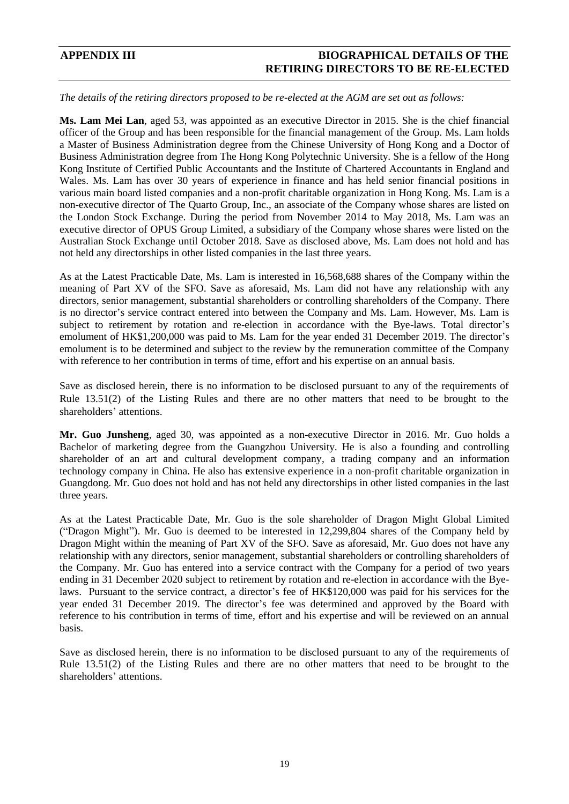## **APPENDIX III BIOGRAPHICAL DETAILS OF THE RETIRING DIRECTORS TO BE RE-ELECTED**

### *The details of the retiring directors proposed to be re-elected at the AGM are set out as follows:*

**Ms. Lam Mei Lan**, aged 53, was appointed as an executive Director in 2015. She is the chief financial officer of the Group and has been responsible for the financial management of the Group. Ms. Lam holds a Master of Business Administration degree from the Chinese University of Hong Kong and a Doctor of Business Administration degree from The Hong Kong Polytechnic University. She is a fellow of the Hong Kong Institute of Certified Public Accountants and the Institute of Chartered Accountants in England and Wales. Ms. Lam has over 30 years of experience in finance and has held senior financial positions in various main board listed companies and a non-profit charitable organization in Hong Kong. Ms. Lam is a non-executive director of The Quarto Group, Inc., an associate of the Company whose shares are listed on the London Stock Exchange. During the period from November 2014 to May 2018, Ms. Lam was an executive director of OPUS Group Limited, a subsidiary of the Company whose shares were listed on the Australian Stock Exchange until October 2018. Save as disclosed above, Ms. Lam does not hold and has not held any directorships in other listed companies in the last three years.

As at the Latest Practicable Date, Ms. Lam is interested in 16,568,688 shares of the Company within the meaning of Part XV of the SFO. Save as aforesaid, Ms. Lam did not have any relationship with any directors, senior management, substantial shareholders or controlling shareholders of the Company. There is no director's service contract entered into between the Company and Ms. Lam. However, Ms. Lam is subject to retirement by rotation and re-election in accordance with the Bye-laws. Total director's emolument of HK\$1,200,000 was paid to Ms. Lam for the year ended 31 December 2019. The director's emolument is to be determined and subject to the review by the remuneration committee of the Company with reference to her contribution in terms of time, effort and his expertise on an annual basis.

Save as disclosed herein, there is no information to be disclosed pursuant to any of the requirements of Rule 13.51(2) of the Listing Rules and there are no other matters that need to be brought to the shareholders' attentions.

**Mr. Guo Junsheng**, aged 30, was appointed as a non-executive Director in 2016. Mr. Guo holds a Bachelor of marketing degree from the Guangzhou University. He is also a founding and controlling shareholder of an art and cultural development company, a trading company and an information technology company in China. He also has **e**xtensive experience in a non-profit charitable organization in Guangdong. Mr. Guo does not hold and has not held any directorships in other listed companies in the last three years.

As at the Latest Practicable Date, Mr. Guo is the sole shareholder of Dragon Might Global Limited ("Dragon Might"). Mr. Guo is deemed to be interested in 12,299,804 shares of the Company held by Dragon Might within the meaning of Part XV of the SFO. Save as aforesaid, Mr. Guo does not have any relationship with any directors, senior management, substantial shareholders or controlling shareholders of the Company. Mr. Guo has entered into a service contract with the Company for a period of two years ending in 31 December 2020 subject to retirement by rotation and re-election in accordance with the Byelaws. Pursuant to the service contract, a director's fee of HK\$120,000 was paid for his services for the year ended 31 December 2019. The director's fee was determined and approved by the Board with reference to his contribution in terms of time, effort and his expertise and will be reviewed on an annual basis.

Save as disclosed herein, there is no information to be disclosed pursuant to any of the requirements of Rule 13.51(2) of the Listing Rules and there are no other matters that need to be brought to the shareholders' attentions.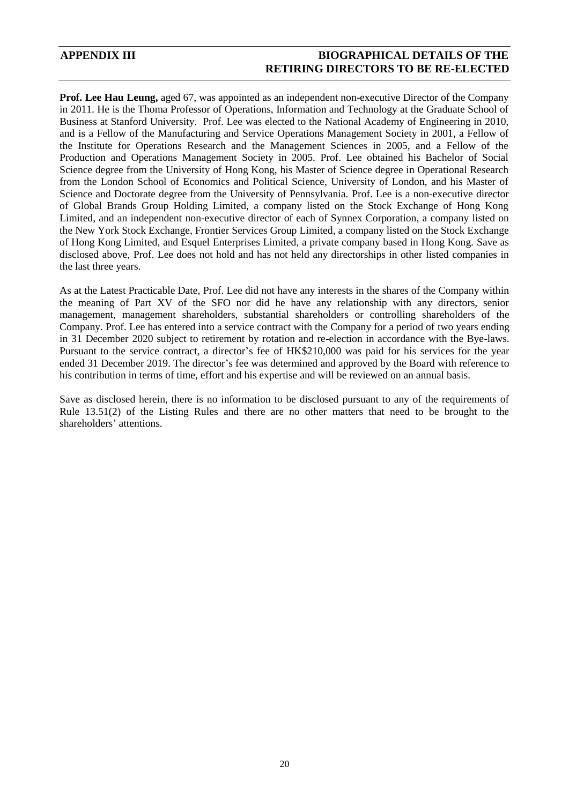## **APPENDIX III BIOGRAPHICAL DETAILS OF THE RETIRING DIRECTORS TO BE RE-ELECTED**

**Prof. Lee Hau Leung,** aged 67, was appointed as an independent non-executive Director of the Company in 2011. He is the Thoma Professor of Operations, Information and Technology at the Graduate School of Business at Stanford University. Prof. Lee was elected to the National Academy of Engineering in 2010, and is a Fellow of the Manufacturing and Service Operations Management Society in 2001, a Fellow of the Institute for Operations Research and the Management Sciences in 2005, and a Fellow of the Production and Operations Management Society in 2005. Prof. Lee obtained his Bachelor of Social Science degree from the University of Hong Kong, his Master of Science degree in Operational Research from the London School of Economics and Political Science, University of London, and his Master of Science and Doctorate degree from the University of Pennsylvania. Prof. Lee is a non-executive director of Global Brands Group Holding Limited, a company listed on the Stock Exchange of Hong Kong Limited, and an independent non-executive director of each of Synnex Corporation, a company listed on the New York Stock Exchange, Frontier Services Group Limited, a company listed on the Stock Exchange of Hong Kong Limited, and Esquel Enterprises Limited, a private company based in Hong Kong. Save as disclosed above, Prof. Lee does not hold and has not held any directorships in other listed companies in the last three years.

As at the Latest Practicable Date, Prof. Lee did not have any interests in the shares of the Company within the meaning of Part XV of the SFO nor did he have any relationship with any directors, senior management, management shareholders, substantial shareholders or controlling shareholders of the Company. Prof. Lee has entered into a service contract with the Company for a period of two years ending in 31 December 2020 subject to retirement by rotation and re-election in accordance with the Bye-laws. Pursuant to the service contract, a director's fee of HK\$210,000 was paid for his services for the year ended 31 December 2019. The director's fee was determined and approved by the Board with reference to his contribution in terms of time, effort and his expertise and will be reviewed on an annual basis.

Save as disclosed herein, there is no information to be disclosed pursuant to any of the requirements of Rule 13.51(2) of the Listing Rules and there are no other matters that need to be brought to the shareholders' attentions.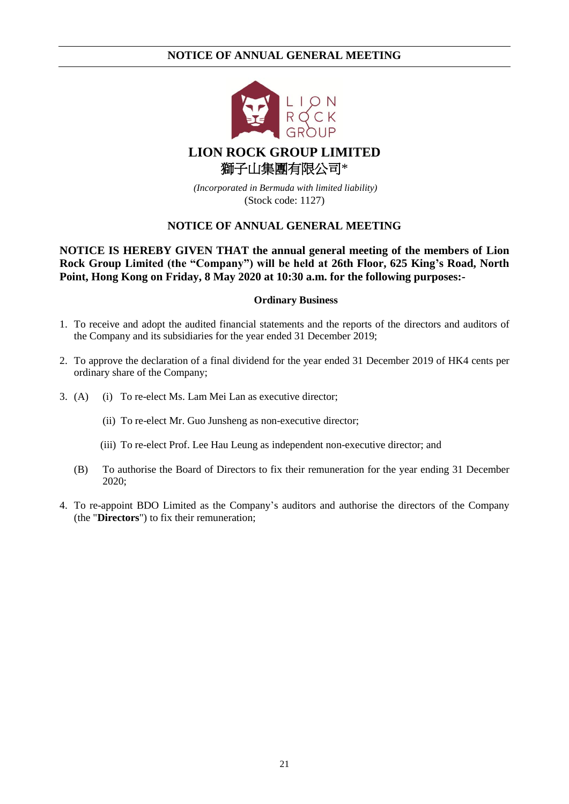

# **LION ROCK GROUP LIMITED** 獅子山集團有限公司\*

*(Incorporated in Bermuda with limited liability)* (Stock code: 1127)

## **NOTICE OF ANNUAL GENERAL MEETING**

**NOTICE IS HEREBY GIVEN THAT the annual general meeting of the members of Lion Rock Group Limited (the "Company") will be held at 26th Floor, 625 King's Road, North Point, Hong Kong on Friday, 8 May 2020 at 10:30 a.m. for the following purposes:-**

### **Ordinary Business**

- 1. To receive and adopt the audited financial statements and the reports of the directors and auditors of the Company and its subsidiaries for the year ended 31 December 2019;
- 2. To approve the declaration of a final dividend for the year ended 31 December 2019 of HK4 cents per ordinary share of the Company;
- 3. (A) (i) To re-elect Ms. Lam Mei Lan as executive director;
	- (ii) To re-elect Mr. Guo Junsheng as non-executive director;
	- (iii) To re-elect Prof. Lee Hau Leung as independent non-executive director; and
	- (B) To authorise the Board of Directors to fix their remuneration for the year ending 31 December 2020;
- 4. To re-appoint BDO Limited as the Company's auditors and authorise the directors of the Company (the "**Directors**") to fix their remuneration;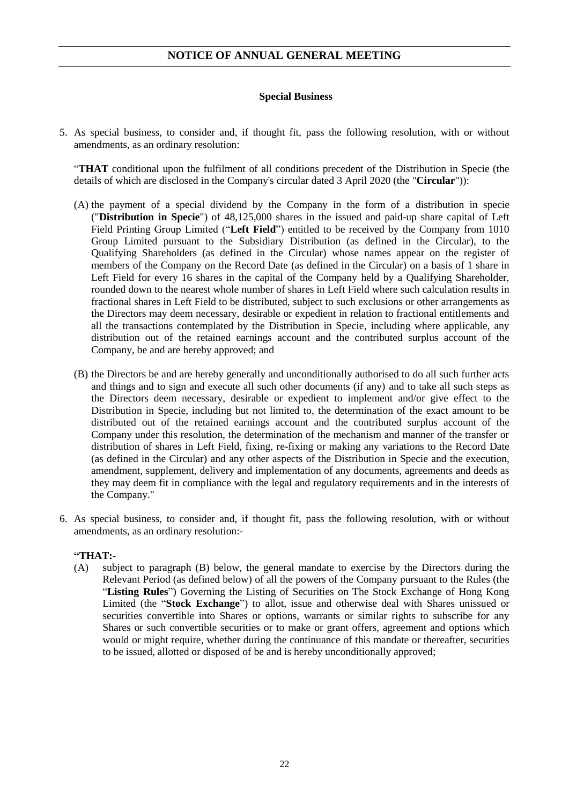### **Special Business**

5. As special business, to consider and, if thought fit, pass the following resolution, with or without amendments, as an ordinary resolution:

"**THAT** conditional upon the fulfilment of all conditions precedent of the Distribution in Specie (the details of which are disclosed in the Company's circular dated 3 April 2020 (the "**Circular**")):

- (A) the payment of a special dividend by the Company in the form of a distribution in specie ("**Distribution in Specie**") of 48,125,000 shares in the issued and paid-up share capital of Left Field Printing Group Limited ("**Left Field**") entitled to be received by the Company from 1010 Group Limited pursuant to the Subsidiary Distribution (as defined in the Circular), to the Qualifying Shareholders (as defined in the Circular) whose names appear on the register of members of the Company on the Record Date (as defined in the Circular) on a basis of 1 share in Left Field for every 16 shares in the capital of the Company held by a Qualifying Shareholder, rounded down to the nearest whole number of shares in Left Field where such calculation results in fractional shares in Left Field to be distributed, subject to such exclusions or other arrangements as the Directors may deem necessary, desirable or expedient in relation to fractional entitlements and all the transactions contemplated by the Distribution in Specie, including where applicable, any distribution out of the retained earnings account and the contributed surplus account of the Company, be and are hereby approved; and
- (B) the Directors be and are hereby generally and unconditionally authorised to do all such further acts and things and to sign and execute all such other documents (if any) and to take all such steps as the Directors deem necessary, desirable or expedient to implement and/or give effect to the Distribution in Specie, including but not limited to, the determination of the exact amount to be distributed out of the retained earnings account and the contributed surplus account of the Company under this resolution, the determination of the mechanism and manner of the transfer or distribution of shares in Left Field, fixing, re-fixing or making any variations to the Record Date (as defined in the Circular) and any other aspects of the Distribution in Specie and the execution, amendment, supplement, delivery and implementation of any documents, agreements and deeds as they may deem fit in compliance with the legal and regulatory requirements and in the interests of the Company."
- <span id="page-23-0"></span>6. As special business, to consider and, if thought fit, pass the following resolution, with or without amendments, as an ordinary resolution:-

### **"THAT:-**

(A) subject to paragraph (B) below, the general mandate to exercise by the Directors during the Relevant Period (as defined below) of all the powers of the Company pursuant to the Rules (the "**Listing Rules**") Governing the Listing of Securities on The Stock Exchange of Hong Kong Limited (the "**Stock Exchange**") to allot, issue and otherwise deal with Shares unissued or securities convertible into Shares or options, warrants or similar rights to subscribe for any Shares or such convertible securities or to make or grant offers, agreement and options which would or might require, whether during the continuance of this mandate or thereafter, securities to be issued, allotted or disposed of be and is hereby unconditionally approved;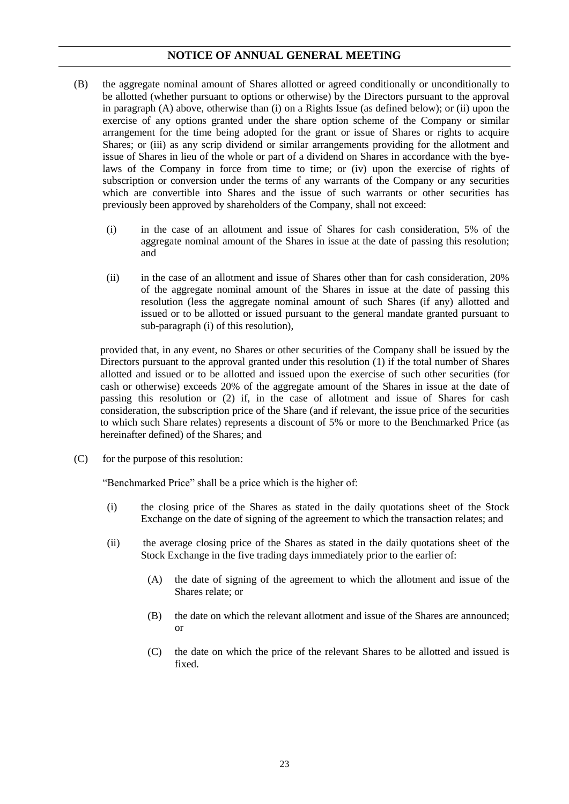- (B) the aggregate nominal amount of Shares allotted or agreed conditionally or unconditionally to be allotted (whether pursuant to options or otherwise) by the Directors pursuant to the approval in paragraph (A) above, otherwise than (i) on a Rights Issue (as defined below); or (ii) upon the exercise of any options granted under the share option scheme of the Company or similar arrangement for the time being adopted for the grant or issue of Shares or rights to acquire Shares; or (iii) as any scrip dividend or similar arrangements providing for the allotment and issue of Shares in lieu of the whole or part of a dividend on Shares in accordance with the byelaws of the Company in force from time to time; or (iv) upon the exercise of rights of subscription or conversion under the terms of any warrants of the Company or any securities which are convertible into Shares and the issue of such warrants or other securities has previously been approved by shareholders of the Company, shall not exceed:
	- (i) in the case of an allotment and issue of Shares for cash consideration, 5% of the aggregate nominal amount of the Shares in issue at the date of passing this resolution; and
	- (ii) in the case of an allotment and issue of Shares other than for cash consideration, 20% of the aggregate nominal amount of the Shares in issue at the date of passing this resolution (less the aggregate nominal amount of such Shares (if any) allotted and issued or to be allotted or issued pursuant to the general mandate granted pursuant to sub-paragraph (i) of this resolution),

provided that, in any event, no Shares or other securities of the Company shall be issued by the Directors pursuant to the approval granted under this resolution (1) if the total number of Shares allotted and issued or to be allotted and issued upon the exercise of such other securities (for cash or otherwise) exceeds 20% of the aggregate amount of the Shares in issue at the date of passing this resolution or (2) if, in the case of allotment and issue of Shares for cash consideration, the subscription price of the Share (and if relevant, the issue price of the securities to which such Share relates) represents a discount of 5% or more to the Benchmarked Price (as hereinafter defined) of the Shares; and

(C) for the purpose of this resolution:

"Benchmarked Price" shall be a price which is the higher of:

- (i) the closing price of the Shares as stated in the daily quotations sheet of the Stock Exchange on the date of signing of the agreement to which the transaction relates; and
- (ii) the average closing price of the Shares as stated in the daily quotations sheet of the Stock Exchange in the five trading days immediately prior to the earlier of:
	- (A) the date of signing of the agreement to which the allotment and issue of the Shares relate; or
	- (B) the date on which the relevant allotment and issue of the Shares are announced; or
	- (C) the date on which the price of the relevant Shares to be allotted and issued is fixed.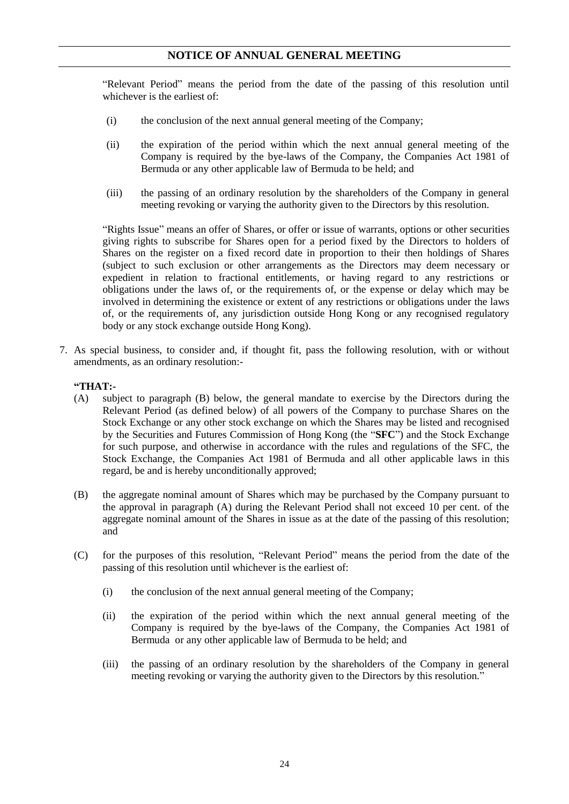"Relevant Period" means the period from the date of the passing of this resolution until whichever is the earliest of:

- (i) the conclusion of the next annual general meeting of the Company;
- (ii) the expiration of the period within which the next annual general meeting of the Company is required by the bye-laws of the Company, the Companies Act 1981 of Bermuda or any other applicable law of Bermuda to be held; and
- (iii) the passing of an ordinary resolution by the shareholders of the Company in general meeting revoking or varying the authority given to the Directors by this resolution.

"Rights Issue" means an offer of Shares, or offer or issue of warrants, options or other securities giving rights to subscribe for Shares open for a period fixed by the Directors to holders of Shares on the register on a fixed record date in proportion to their then holdings of Shares (subject to such exclusion or other arrangements as the Directors may deem necessary or expedient in relation to fractional entitlements, or having regard to any restrictions or obligations under the laws of, or the requirements of, or the expense or delay which may be involved in determining the existence or extent of any restrictions or obligations under the laws of, or the requirements of, any jurisdiction outside Hong Kong or any recognised regulatory body or any stock exchange outside Hong Kong).

<span id="page-25-0"></span>7. As special business, to consider and, if thought fit, pass the following resolution, with or without amendments, as an ordinary resolution:-

### **"THAT:-**

- (A) subject to paragraph (B) below, the general mandate to exercise by the Directors during the Relevant Period (as defined below) of all powers of the Company to purchase Shares on the Stock Exchange or any other stock exchange on which the Shares may be listed and recognised by the Securities and Futures Commission of Hong Kong (the "**SFC**") and the Stock Exchange for such purpose, and otherwise in accordance with the rules and regulations of the SFC, the Stock Exchange, the Companies Act 1981 of Bermuda and all other applicable laws in this regard, be and is hereby unconditionally approved;
- (B) the aggregate nominal amount of Shares which may be purchased by the Company pursuant to the approval in paragraph (A) during the Relevant Period shall not exceed 10 per cent. of the aggregate nominal amount of the Shares in issue as at the date of the passing of this resolution; and
- (C) for the purposes of this resolution, "Relevant Period" means the period from the date of the passing of this resolution until whichever is the earliest of:
	- (i) the conclusion of the next annual general meeting of the Company;
	- (ii) the expiration of the period within which the next annual general meeting of the Company is required by the bye-laws of the Company, the Companies Act 1981 of Bermuda or any other applicable law of Bermuda to be held; and
	- (iii) the passing of an ordinary resolution by the shareholders of the Company in general meeting revoking or varying the authority given to the Directors by this resolution."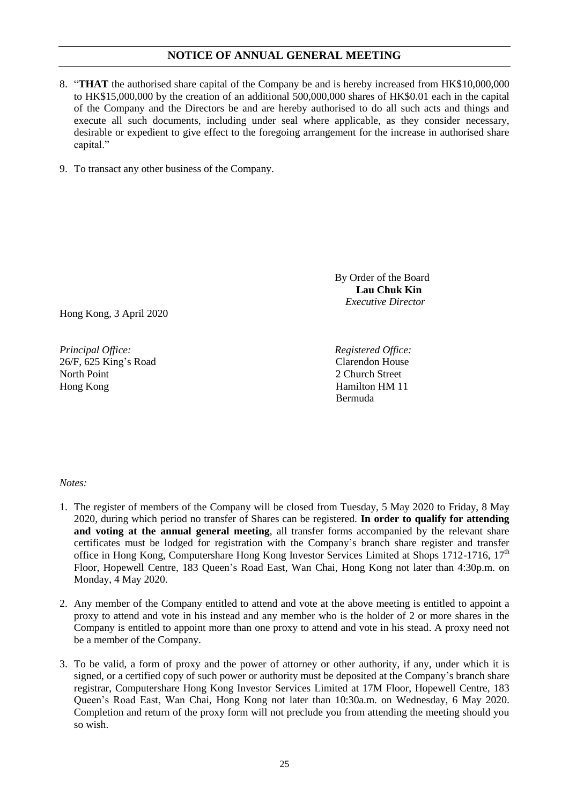- 8. "**THAT** the authorised share capital of the Company be and is hereby increased from HK\$10,000,000 to HK\$15,000,000 by the creation of an additional 500,000,000 shares of HK\$0.01 each in the capital of the Company and the Directors be and are hereby authorised to do all such acts and things and execute all such documents, including under seal where applicable, as they consider necessary, desirable or expedient to give effect to the foregoing arrangement for the increase in authorised share capital."
- 9. To transact any other business of the Company.

Hong Kong, 3 April 2020

*Principal Office: Registered Office:* 26/F, 625 King's Road North Point Hong Kong

By Order of the Board **Lau Chuk Kin** *Executive Director* 

Clarendon House 2 Church Street Hamilton HM 11 Bermuda

### *Notes:*

- 1. The register of members of the Company will be closed from Tuesday, 5 May 2020 to Friday, 8 May 2020, during which period no transfer of Shares can be registered. **In order to qualify for attending and voting at the annual general meeting**, all transfer forms accompanied by the relevant share certificates must be lodged for registration with the Company's branch share register and transfer office in Hong Kong, Computershare Hong Kong Investor Services Limited at Shops 1712-1716, 17<sup>th</sup> Floor, Hopewell Centre, 183 Queen's Road East, Wan Chai, Hong Kong not later than 4:30p.m. on Monday, 4 May 2020.
- 2. Any member of the Company entitled to attend and vote at the above meeting is entitled to appoint a proxy to attend and vote in his instead and any member who is the holder of 2 or more shares in the Company is entitled to appoint more than one proxy to attend and vote in his stead. A proxy need not be a member of the Company.
- 3. To be valid, a form of proxy and the power of attorney or other authority, if any, under which it is signed, or a certified copy of such power or authority must be deposited at the Company's branch share registrar, Computershare Hong Kong Investor Services Limited at 17M Floor, Hopewell Centre, 183 Queen's Road East, Wan Chai, Hong Kong not later than 10:30a.m. on Wednesday, 6 May 2020. Completion and return of the proxy form will not preclude you from attending the meeting should you so wish.